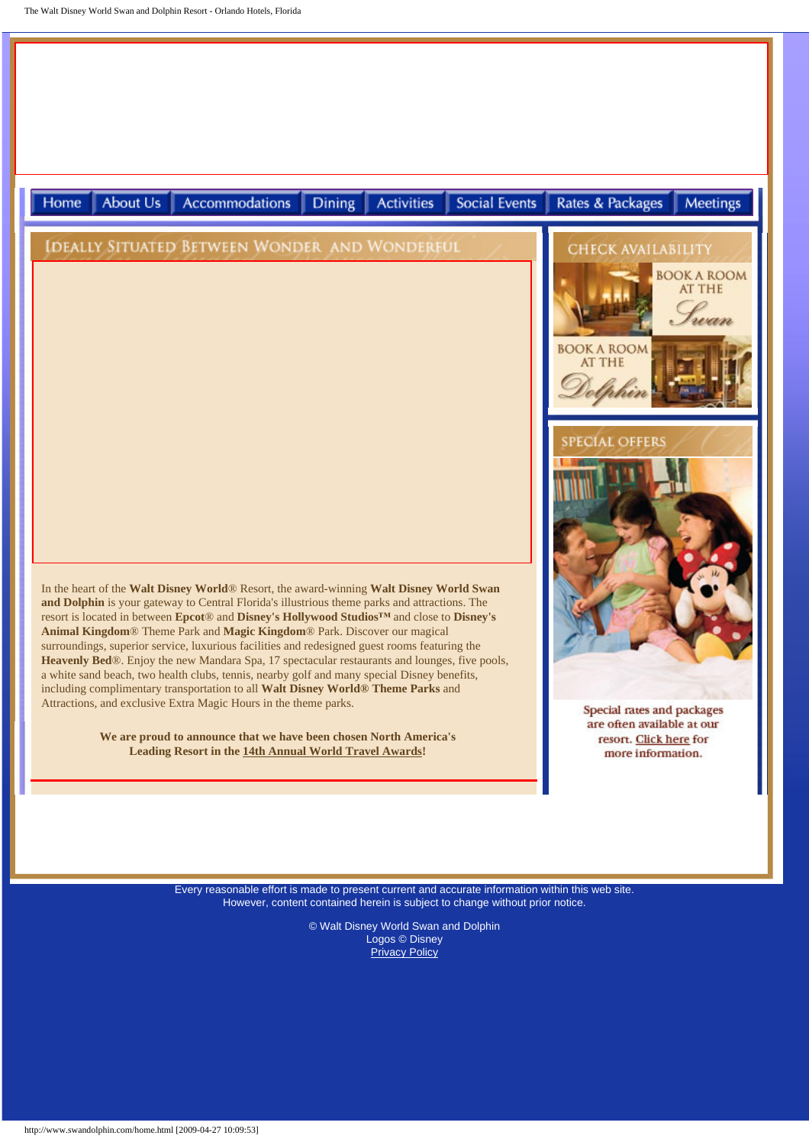

Every reasonable effort is made to present current and accurate information within this web site. However, content contained herein is subject to change without prior notice.

> © Walt Disney World Swan and Dolphin Logos © Disney **[Privacy Policy](http://www.swandolphin.com/cards/content/policy.htm)**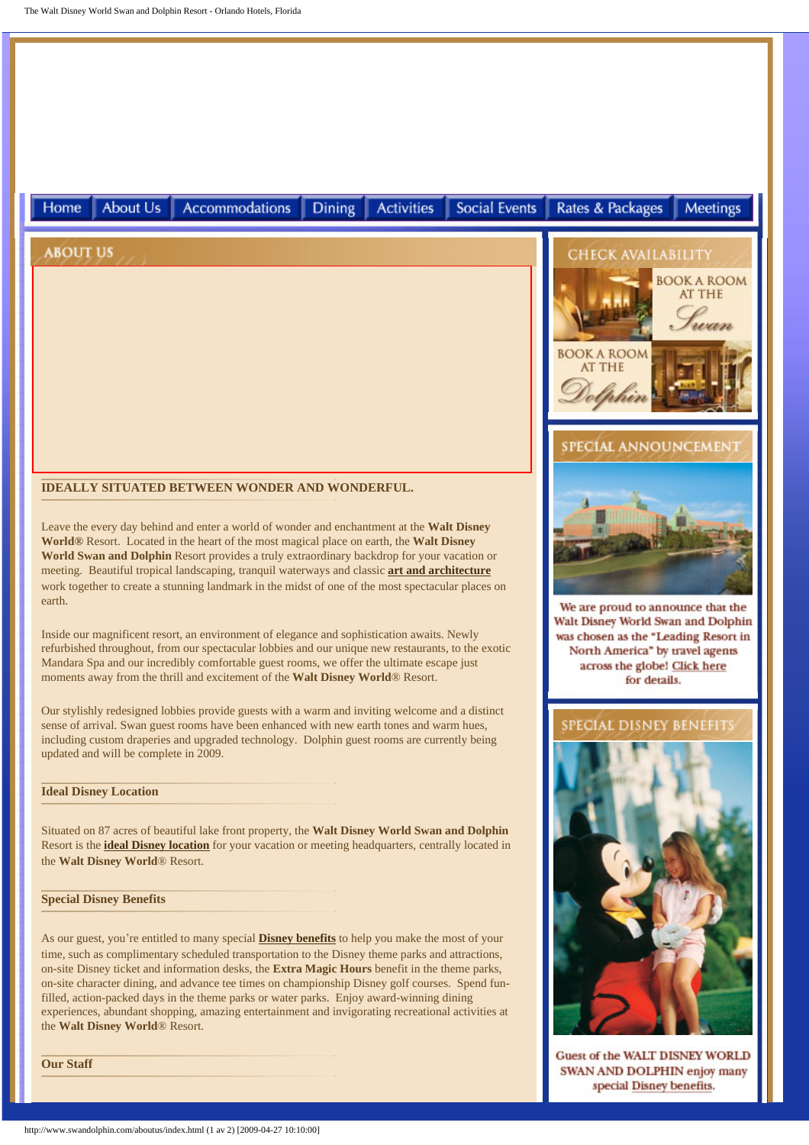

http://www.swandolphin.com/aboutus/index.html (1 av 2) [2009-04-27 10:10:00]